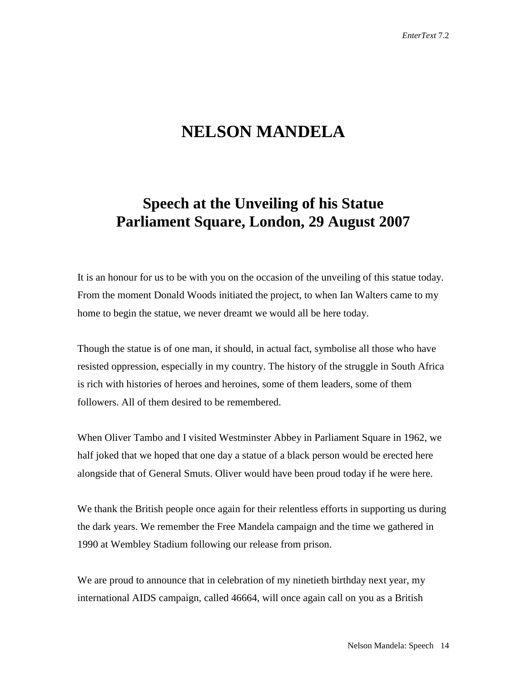## **NELSON MANDELA**

## **Speech at the Unveiling of his Statue Parliament Square, London, 29 August 2007**

It is an honour for us to be with you on the occasion of the unveiling of this statue today. From the moment Donald Woods initiated the project, to when Ian Walters came to my home to begin the statue, we never dreamt we would all be here today.

Though the statue is of one man, it should, in actual fact, symbolise all those who have resisted oppression, especially in my country. The history of the struggle in South Africa is rich with histories of heroes and heroines, some of them leaders, some of them followers. All of them desired to be remembered.

When Oliver Tambo and I visited Westminster Abbey in Parliament Square in 1962, we half joked that we hoped that one day a statue of a black person would be erected here alongside that of General Smuts. Oliver would have been proud today if he were here.

We thank the British people once again for their relentless efforts in supporting us during the dark years. We remember the Free Mandela campaign and the time we gathered in 1990 at Wembley Stadium following our release from prison.

We are proud to announce that in celebration of my ninetieth birthday next year, my international AIDS campaign, called 46664, will once again call on you as a British